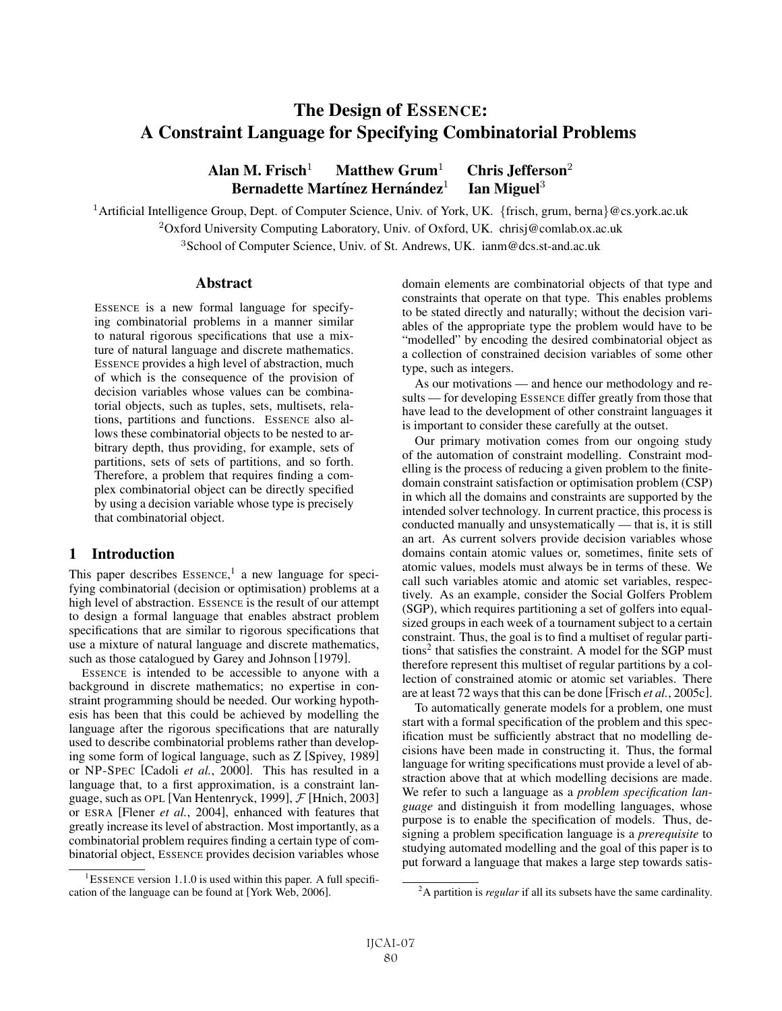# The Design of ESSENCE: A Constraint Language for Specifying Combinatorial Problems

# Alan M. Frisch<sup>1</sup> Matthew Grum<sup>1</sup> Chris Jefferson<sup>2</sup> Bernadette Martínez Hernández<sup>1</sup> Ian Miguel<sup>3</sup>

<sup>1</sup>Artificial Intelligence Group, Dept. of Computer Science, Univ. of York, UK. {frisch, grum, berna}@cs.york.ac.uk <sup>2</sup>Oxford University Computing Laboratory, Univ. of Oxford, UK. chrisj@comlab.ox.ac.uk

<sup>3</sup>School of Computer Science, Univ. of St. Andrews, UK. ianm@dcs.st-and.ac.uk

### Abstract

ESSENCE is a new formal language for specifying combinatorial problems in a manner similar to natural rigorous specifications that use a mixture of natural language and discrete mathematics. ESSENCE provides a high level of abstraction, much of which is the consequence of the provision of decision variables whose values can be combinatorial objects, such as tuples, sets, multisets, relations, partitions and functions. ESSENCE also allows these combinatorial objects to be nested to arbitrary depth, thus providing, for example, sets of partitions, sets of sets of partitions, and so forth. Therefore, a problem that requires finding a complex combinatorial object can be directly specified by using a decision variable whose type is precisely that combinatorial object.

# 1 Introduction

This paper describes ESSENCE,<sup>1</sup> a new language for specifying combinatorial (decision or optimisation) problems at a high level of abstraction. ESSENCE is the result of our attempt to design a formal language that enables abstract problem specifications that are similar to rigorous specifications that use a mixture of natural language and discrete mathematics, such as those catalogued by Garey and Johnson [1979].

ESSENCE is intended to be accessible to anyone with a background in discrete mathematics; no expertise in constraint programming should be needed. Our working hypothesis has been that this could be achieved by modelling the language after the rigorous specifications that are naturally used to describe combinatorial problems rather than developing some form of logical language, such as Z [Spivey, 1989] or NP-SPEC [Cadoli *et al.*, 2000]. This has resulted in a language that, to a first approximation, is a constraint language, such as OPL [Van Hentenryck, 1999],  $\mathcal{F}$  [Hnich, 2003] or ESRA [Flener *et al.*, 2004], enhanced with features that greatly increase its level of abstraction. Most importantly, as a combinatorial problem requires finding a certain type of combinatorial object, ESSENCE provides decision variables whose domain elements are combinatorial objects of that type and constraints that operate on that type. This enables problems to be stated directly and naturally; without the decision variables of the appropriate type the problem would have to be "modelled" by encoding the desired combinatorial object as a collection of constrained decision variables of some other type, such as integers.

As our motivations — and hence our methodology and results — for developing ESSENCE differ greatly from those that have lead to the development of other constraint languages it is important to consider these carefully at the outset.

Our primary motivation comes from our ongoing study of the automation of constraint modelling. Constraint modelling is the process of reducing a given problem to the finitedomain constraint satisfaction or optimisation problem (CSP) in which all the domains and constraints are supported by the intended solver technology. In current practice, this process is conducted manually and unsystematically — that is, it is still an art. As current solvers provide decision variables whose domains contain atomic values or, sometimes, finite sets of atomic values, models must always be in terms of these. We call such variables atomic and atomic set variables, respectively. As an example, consider the Social Golfers Problem (SGP), which requires partitioning a set of golfers into equalsized groups in each week of a tournament subject to a certain constraint. Thus, the goal is to find a multiset of regular partitions2 that satisfies the constraint. A model for the SGP must therefore represent this multiset of regular partitions by a collection of constrained atomic or atomic set variables. There are at least 72 ways that this can be done [Frisch *et al.*, 2005c].

To automatically generate models for a problem, one must start with a formal specification of the problem and this specification must be sufficiently abstract that no modelling decisions have been made in constructing it. Thus, the formal language for writing specifications must provide a level of abstraction above that at which modelling decisions are made. We refer to such a language as a *problem specification language* and distinguish it from modelling languages, whose purpose is to enable the specification of models. Thus, designing a problem specification language is a *prerequisite* to studying automated modelling and the goal of this paper is to put forward a language that makes a large step towards satis-

<sup>&</sup>lt;sup>1</sup>ESSENCE version 1.1.0 is used within this paper. A full specification of the language can be found at [York Web, 2006].

<sup>2</sup> A partition is *regular* if all its subsets have the same cardinality.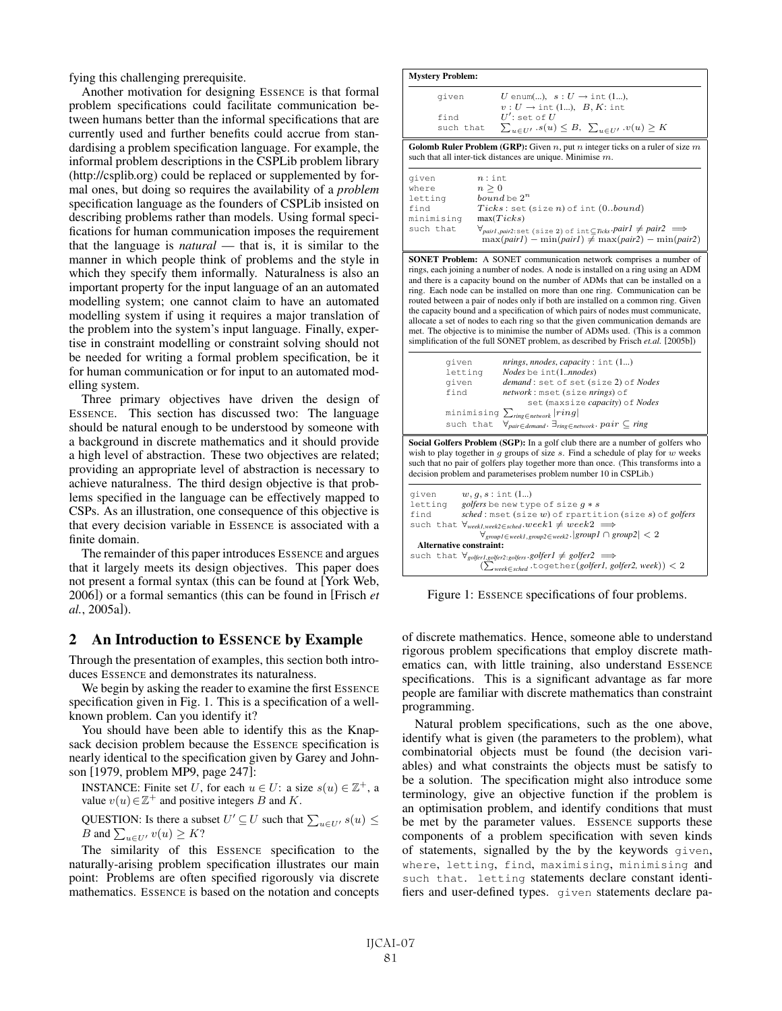fying this challenging prerequisite.

Another motivation for designing ESSENCE is that formal problem specifications could facilitate communication between humans better than the informal specifications that are currently used and further benefits could accrue from standardising a problem specification language. For example, the informal problem descriptions in the CSPLib problem library (http://csplib.org) could be replaced or supplemented by formal ones, but doing so requires the availability of a *problem* specification language as the founders of CSPLib insisted on describing problems rather than models. Using formal specifications for human communication imposes the requirement that the language is *natural* — that is, it is similar to the manner in which people think of problems and the style in which they specify them informally. Naturalness is also an important property for the input language of an an automated modelling system; one cannot claim to have an automated modelling system if using it requires a major translation of the problem into the system's input language. Finally, expertise in constraint modelling or constraint solving should not be needed for writing a formal problem specification, be it for human communication or for input to an automated modelling system.

Three primary objectives have driven the design of ESSENCE. This section has discussed two: The language should be natural enough to be understood by someone with a background in discrete mathematics and it should provide a high level of abstraction. These two objectives are related; providing an appropriate level of abstraction is necessary to achieve naturalness. The third design objective is that problems specified in the language can be effectively mapped to CSPs. As an illustration, one consequence of this objective is that every decision variable in ESSENCE is associated with a finite domain.

The remainder of this paper introduces ESSENCE and argues that it largely meets its design objectives. This paper does not present a formal syntax (this can be found at [York Web, 2006]) or a formal semantics (this can be found in [Frisch *et al.*, 2005a]).

### 2 An Introduction to ESSENCE by Example

Through the presentation of examples, this section both introduces ESSENCE and demonstrates its naturalness.

We begin by asking the reader to examine the first ESSENCE specification given in Fig. 1. This is a specification of a wellknown problem. Can you identify it?

You should have been able to identify this as the Knapsack decision problem because the ESSENCE specification is nearly identical to the specification given by Garey and Johnson [1979, problem MP9, page 247]:

**INSTANCE:** Finite set U, for each  $u \in U$ : a size  $s(u) \in \mathbb{Z}^+$ , a value  $v(u) \in \mathbb{Z}^+$  and positive integers B and K.

QUESTION: Is there a subset  $U' \subseteq U$  such that  $\sum_{u \in U'} s(u) \le$ *B* and  $\sum_{u \in U'} v(u) \geq K$ ?

The similarity of this ESSENCE specification to the naturally-arising problem specification illustrates our main point: Problems are often specified rigorously via discrete mathematics. ESSENCE is based on the notation and concepts

| given                          | U enum(), $s: U \rightarrow \text{int}(1),$                                                                                                                                                                                                                                                                                                                                                                                                                  |
|--------------------------------|--------------------------------------------------------------------------------------------------------------------------------------------------------------------------------------------------------------------------------------------------------------------------------------------------------------------------------------------------------------------------------------------------------------------------------------------------------------|
|                                | $v: U \rightarrow \text{int}(1), B, K: \text{int}$                                                                                                                                                                                                                                                                                                                                                                                                           |
| find                           | $U'$ : set of $U$                                                                                                                                                                                                                                                                                                                                                                                                                                            |
| such that                      | $\sum_{u \in U'} s(u) \leq B$ , $\sum_{u \in U'} v(u) \geq K$                                                                                                                                                                                                                                                                                                                                                                                                |
|                                | Golomb Ruler Problem (GRP): Given $n$ , put $n$ integer ticks on a ruler of size $m$<br>such that all inter-tick distances are unique. Minimise $m$ .                                                                                                                                                                                                                                                                                                        |
| given                          | $n:$ int                                                                                                                                                                                                                                                                                                                                                                                                                                                     |
| where                          | $n \geq 0$                                                                                                                                                                                                                                                                                                                                                                                                                                                   |
| letting                        | bound be $2^n$                                                                                                                                                                                                                                                                                                                                                                                                                                               |
| find<br>minimising             | $Ticks:$ set (size n) of int (0bound)<br>max(Ticks)                                                                                                                                                                                                                                                                                                                                                                                                          |
| such that                      | $\forall_{pairl, pair2:set(size\ 2) \text{ of } int \subseteq Ticks}$ . $pairl \neq pair2 \implies$<br>$\max(\text{pair1}) - \min(\text{pair1}) \neq \max(\text{pair2}) - \min(\text{pair2})$                                                                                                                                                                                                                                                                |
|                                |                                                                                                                                                                                                                                                                                                                                                                                                                                                              |
| given<br>letting               | simplification of the full SONET problem, as described by Frisch et.al. [2005b])<br>n rings, modes, capacity: int (1)<br>Nodes be int(1nnodes)                                                                                                                                                                                                                                                                                                               |
| given<br>find                  | demand: set of set (size 2) of Nodes<br>network: mset (size nrings) of                                                                                                                                                                                                                                                                                                                                                                                       |
|                                | ring. Each node can be installed on more than one ring. Communication can be<br>routed between a pair of nodes only if both are installed on a common ring. Given<br>the capacity bound and a specification of which pairs of nodes must communicate,<br>allocate a set of nodes to each ring so that the given communication demands are<br>met. The objective is to minimise the number of ADMs used. (This is a common<br>set (maxsize capacity) of Nodes |
| such that                      | minimising $\sum_{\text{ring}\in\text{network}} \text{ring} $<br>$\forall_{pair \in demand}.\ \exists_{ring \in network}.\ pair \subseteq ring$                                                                                                                                                                                                                                                                                                              |
| given<br>letting<br>find       | decision problem and parameterises problem number 10 in CSPLib.)<br>$w, g, s: \text{int}(1)$<br>golfers be new type of size $g * s$<br>$sched:$ mset (size $w$ ) of rpartition (size $s$ ) of golfers<br>such that $\forall_{\text{week1,week2} \in \text{sched}}. week1 \neq week2 \implies$                                                                                                                                                                |
| <b>Alternative constraint:</b> | Social Golfers Problem (SGP): In a golf club there are a number of golfers who<br>wish to play together in $q$ groups of size $s$ . Find a schedule of play for $w$ weeks<br>such that no pair of golfers play together more than once. (This transforms into a<br>$\forall_{\text{group1} \in \text{week1}, \text{group2} \in \text{week2}} .  \text{group1} \cap \text{group2}  < 2$                                                                       |

Figure 1: ESSENCE specifications of four problems.

of discrete mathematics. Hence, someone able to understand rigorous problem specifications that employ discrete mathematics can, with little training, also understand ESSENCE specifications. This is a significant advantage as far more people are familiar with discrete mathematics than constraint programming.

Natural problem specifications, such as the one above, identify what is given (the parameters to the problem), what combinatorial objects must be found (the decision variables) and what constraints the objects must be satisfy to be a solution. The specification might also introduce some terminology, give an objective function if the problem is an optimisation problem, and identify conditions that must be met by the parameter values. ESSENCE supports these components of a problem specification with seven kinds of statements, signalled by the by the keywords given, where, letting, find, maximising, minimising and such that. letting statements declare constant identifiers and user-defined types. given statements declare pa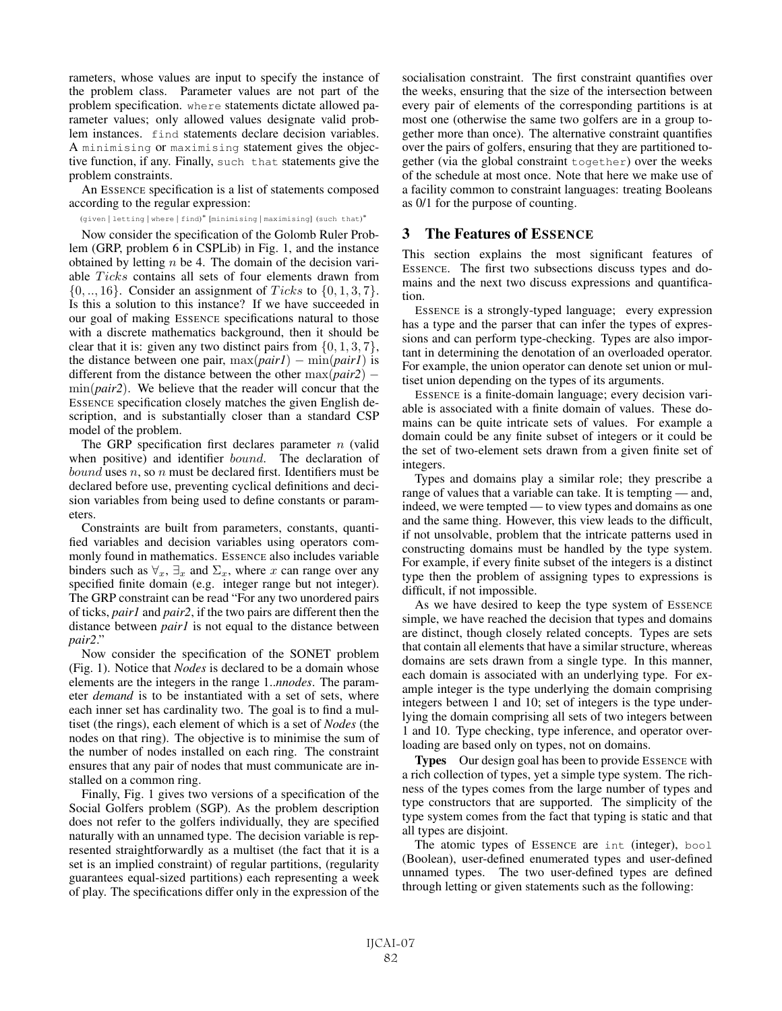rameters, whose values are input to specify the instance of the problem class. Parameter values are not part of the problem specification. where statements dictate allowed parameter values; only allowed values designate valid problem instances. find statements declare decision variables. A minimising or maximising statement gives the objective function, if any. Finally, such that statements give the problem constraints.

An ESSENCE specification is a list of statements composed according to the regular expression:

(given | letting | where | find)<sup>\*</sup> [minimising | maximising] (such that)<sup>\*</sup>

Now consider the specification of the Golomb Ruler Problem (GRP, problem 6 in CSPLib) in Fig. 1, and the instance obtained by letting  $n$  be 4. The domain of the decision variable Ticks contains all sets of four elements drawn from  $\{0, \ldots, 16\}$ . Consider an assignment of *Ticks* to  $\{0, 1, 3, 7\}$ . Is this a solution to this instance? If we have succeeded in our goal of making ESSENCE specifications natural to those with a discrete mathematics background, then it should be clear that it is: given any two distinct pairs from  $\{0, 1, 3, 7\}$ , the distance between one pair,  $\max(\text{pair1}) - \min(\text{pair1})$  is different from the distance between the other max(*pair2*) − min(*pair2*). We believe that the reader will concur that the ESSENCE specification closely matches the given English description, and is substantially closer than a standard CSP model of the problem.

The GRP specification first declares parameter  $n$  (valid when positive) and identifier *bound*. The declaration of *bound* uses *n*, so *n* must be declared first. Identifiers must be declared before use, preventing cyclical definitions and decision variables from being used to define constants or parameters.

Constraints are built from parameters, constants, quantified variables and decision variables using operators commonly found in mathematics. ESSENCE also includes variable binders such as  $\forall_x$ ,  $\exists_x$  and  $\Sigma_x$ , where x can range over any specified finite domain (e.g. integer range but not integer). The GRP constraint can be read "For any two unordered pairs of ticks, *pair1* and *pair2*, if the two pairs are different then the distance between *pair1* is not equal to the distance between *pair2*."

Now consider the specification of the SONET problem (Fig. 1). Notice that *Nodes* is declared to be a domain whose elements are the integers in the range 1..*nnodes*. The parameter *demand* is to be instantiated with a set of sets, where each inner set has cardinality two. The goal is to find a multiset (the rings), each element of which is a set of *Nodes* (the nodes on that ring). The objective is to minimise the sum of the number of nodes installed on each ring. The constraint ensures that any pair of nodes that must communicate are installed on a common ring.

Finally, Fig. 1 gives two versions of a specification of the Social Golfers problem (SGP). As the problem description does not refer to the golfers individually, they are specified naturally with an unnamed type. The decision variable is represented straightforwardly as a multiset (the fact that it is a set is an implied constraint) of regular partitions, (regularity guarantees equal-sized partitions) each representing a week of play. The specifications differ only in the expression of the socialisation constraint. The first constraint quantifies over the weeks, ensuring that the size of the intersection between every pair of elements of the corresponding partitions is at most one (otherwise the same two golfers are in a group together more than once). The alternative constraint quantifies over the pairs of golfers, ensuring that they are partitioned together (via the global constraint together) over the weeks of the schedule at most once. Note that here we make use of a facility common to constraint languages: treating Booleans as 0/1 for the purpose of counting.

### 3 The Features of ESSENCE

This section explains the most significant features of ESSENCE. The first two subsections discuss types and domains and the next two discuss expressions and quantification.

ESSENCE is a strongly-typed language; every expression has a type and the parser that can infer the types of expressions and can perform type-checking. Types are also important in determining the denotation of an overloaded operator. For example, the union operator can denote set union or multiset union depending on the types of its arguments.

ESSENCE is a finite-domain language; every decision variable is associated with a finite domain of values. These domains can be quite intricate sets of values. For example a domain could be any finite subset of integers or it could be the set of two-element sets drawn from a given finite set of integers.

Types and domains play a similar role; they prescribe a range of values that a variable can take. It is tempting — and, indeed, we were tempted — to view types and domains as one and the same thing. However, this view leads to the difficult, if not unsolvable, problem that the intricate patterns used in constructing domains must be handled by the type system. For example, if every finite subset of the integers is a distinct type then the problem of assigning types to expressions is difficult, if not impossible.

As we have desired to keep the type system of ESSENCE simple, we have reached the decision that types and domains are distinct, though closely related concepts. Types are sets that contain all elements that have a similar structure, whereas domains are sets drawn from a single type. In this manner, each domain is associated with an underlying type. For example integer is the type underlying the domain comprising integers between 1 and 10; set of integers is the type underlying the domain comprising all sets of two integers between 1 and 10. Type checking, type inference, and operator overloading are based only on types, not on domains.

Types Our design goal has been to provide ESSENCE with a rich collection of types, yet a simple type system. The richness of the types comes from the large number of types and type constructors that are supported. The simplicity of the type system comes from the fact that typing is static and that all types are disjoint.

The atomic types of ESSENCE are int (integer), bool (Boolean), user-defined enumerated types and user-defined unnamed types. The two user-defined types are defined through letting or given statements such as the following: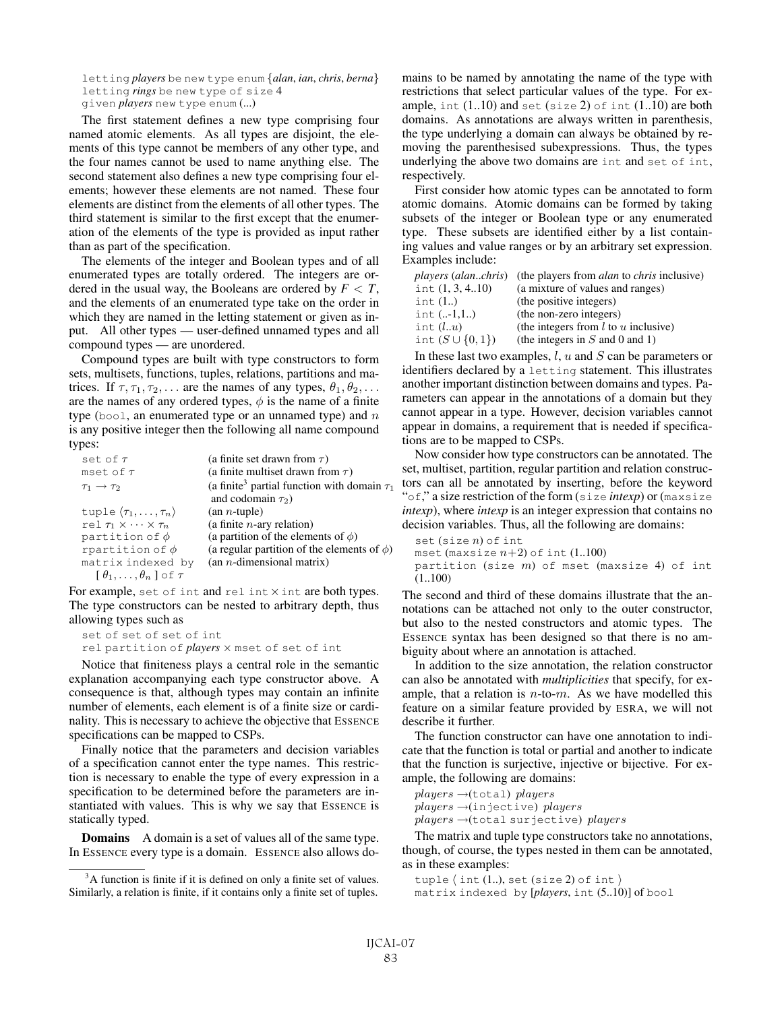letting *players* be new type enum {*alan*, *ian*, *chris*, *berna*} letting *rings* be new type of size 4 given *players* new type enum (...)

The first statement defines a new type comprising four named atomic elements. As all types are disjoint, the elements of this type cannot be members of any other type, and the four names cannot be used to name anything else. The second statement also defines a new type comprising four elements; however these elements are not named. These four elements are distinct from the elements of all other types. The third statement is similar to the first except that the enumeration of the elements of the type is provided as input rather than as part of the specification.

The elements of the integer and Boolean types and of all enumerated types are totally ordered. The integers are ordered in the usual way, the Booleans are ordered by *F* < *T*, and the elements of an enumerated type take on the order in which they are named in the letting statement or given as input. All other types — user-defined unnamed types and all compound types — are unordered.

Compound types are built with type constructors to form sets, multisets, functions, tuples, relations, partitions and matrices. If  $\tau$ ,  $\tau_1$ ,  $\tau_2$ ,... are the names of any types,  $\theta_1$ ,  $\theta_2$ ,... are the names of any ordered types,  $\phi$  is the name of a finite type (bool, an enumerated type or an unnamed type) and  $n$ is any positive integer then the following all name compound types:

| set of $\tau$                                        | (a finite set drawn from $\tau$ )                            |
|------------------------------------------------------|--------------------------------------------------------------|
| mset of $\tau$                                       | (a finite multiset drawn from $\tau$ )                       |
| $\tau_1 \rightarrow \tau_2$                          | (a finite <sup>3</sup> partial function with domain $\tau_1$ |
|                                                      | and codomain $\tau_2$ )                                      |
| tuple $\langle \tau_1,\ldots,\tau_n\rangle$          | $(an n-tuple)$                                               |
| rel $\tau_1 \times \cdots \times \tau_n$             | (a finite $n$ -ary relation)                                 |
| partition of $\phi$                                  | (a partition of the elements of $\phi$ )                     |
| rpartition of $\phi$                                 | (a regular partition of the elements of $\phi$ )             |
| matrix indexed by                                    | $(an n-dimensional matrix)$                                  |
| $\lceil \theta_1, \ldots, \theta_n \rceil$ of $\tau$ |                                                              |

For example, set of int and rel int  $\times$  int are both types. The type constructors can be nested to arbitrary depth, thus allowing types such as

```
set of set of set of int
rel partition of players × mset of set of int
```
Notice that finiteness plays a central role in the semantic explanation accompanying each type constructor above. A consequence is that, although types may contain an infinite number of elements, each element is of a finite size or cardinality. This is necessary to achieve the objective that ESSENCE specifications can be mapped to CSPs.

Finally notice that the parameters and decision variables of a specification cannot enter the type names. This restriction is necessary to enable the type of every expression in a specification to be determined before the parameters are instantiated with values. This is why we say that ESSENCE is statically typed.

**Domains** A domain is a set of values all of the same type. In ESSENCE every type is a domain. ESSENCE also allows domains to be named by annotating the name of the type with restrictions that select particular values of the type. For example,  $int (1.10)$  and set (size 2) of  $int (1.10)$  are both domains. As annotations are always written in parenthesis, the type underlying a domain can always be obtained by removing the parenthesised subexpressions. Thus, the types underlying the above two domains are int and set of int, respectively.

First consider how atomic types can be annotated to form atomic domains. Atomic domains can be formed by taking subsets of the integer or Boolean type or any enumerated type. These subsets are identified either by a list containing values and value ranges or by an arbitrary set expression. Examples include:

|                        | <i>players (alanchris)</i> (the players from <i>alan</i> to <i>chris</i> inclusive) |
|------------------------|-------------------------------------------------------------------------------------|
| int $(1, 3, 4.10)$     | (a mixture of values and ranges)                                                    |
| int $(1.)$             | (the positive integers)                                                             |
| int $(1,1)$            | (the non-zero integers)                                                             |
| int $(l.u)$            | (the integers from $l$ to $u$ inclusive)                                            |
| int $(S \cup \{0,1\})$ | (the integers in $S$ and 0 and 1)                                                   |

In these last two examples,  $l, u$  and  $S$  can be parameters or identifiers declared by a letting statement. This illustrates another important distinction between domains and types. Parameters can appear in the annotations of a domain but they cannot appear in a type. However, decision variables cannot appear in domains, a requirement that is needed if specifications are to be mapped to CSPs.

Now consider how type constructors can be annotated. The set, multiset, partition, regular partition and relation constructors can all be annotated by inserting, before the keyword "of," a size restriction of the form (size *intexp*) or (maxsize *intexp*), where *intexp* is an integer expression that contains no decision variables. Thus, all the following are domains:

```
set (size n) of int
mset (maxsize n+2) of int (1..100)partition (size m) of mset (maxsize 4) of int
(1..100)
```
The second and third of these domains illustrate that the annotations can be attached not only to the outer constructor, but also to the nested constructors and atomic types. The ESSENCE syntax has been designed so that there is no ambiguity about where an annotation is attached.

In addition to the size annotation, the relation constructor can also be annotated with *multiplicities* that specify, for example, that a relation is  $n$ -to- $m$ . As we have modelled this feature on a similar feature provided by ESRA, we will not describe it further.

The function constructor can have one annotation to indicate that the function is total or partial and another to indicate that the function is surjective, injective or bijective. For example, the following are domains:

 $plays \rightarrow (total) \; players$ players →(injective) players  $plays \rightarrow$ (total surjective) players

The matrix and tuple type constructors take no annotations, though, of course, the types nested in them can be annotated, as in these examples:

```
tuple \langle int (1..), set (size 2) of int \ranglematrix indexed by [players, int (5..10)] of bool
```
 $3A$  function is finite if it is defined on only a finite set of values. Similarly, a relation is finite, if it contains only a finite set of tuples.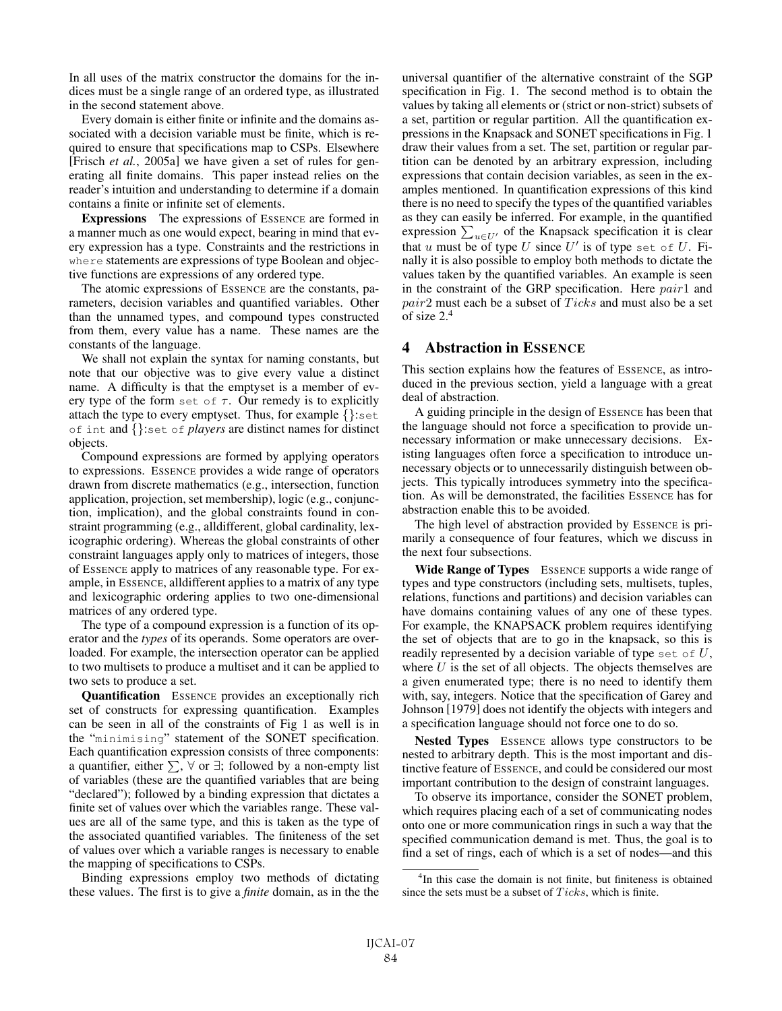In all uses of the matrix constructor the domains for the indices must be a single range of an ordered type, as illustrated in the second statement above.

Every domain is either finite or infinite and the domains associated with a decision variable must be finite, which is required to ensure that specifications map to CSPs. Elsewhere [Frisch *et al.*, 2005a] we have given a set of rules for generating all finite domains. This paper instead relies on the reader's intuition and understanding to determine if a domain contains a finite or infinite set of elements.

Expressions The expressions of ESSENCE are formed in a manner much as one would expect, bearing in mind that every expression has a type. Constraints and the restrictions in where statements are expressions of type Boolean and objective functions are expressions of any ordered type.

The atomic expressions of ESSENCE are the constants, parameters, decision variables and quantified variables. Other than the unnamed types, and compound types constructed from them, every value has a name. These names are the constants of the language.

We shall not explain the syntax for naming constants, but note that our objective was to give every value a distinct name. A difficulty is that the emptyset is a member of every type of the form set of  $\tau$ . Our remedy is to explicitly attach the type to every emptyset. Thus, for example {}:set of int and {}:set of *players* are distinct names for distinct objects.

Compound expressions are formed by applying operators to expressions. ESSENCE provides a wide range of operators drawn from discrete mathematics (e.g., intersection, function application, projection, set membership), logic (e.g., conjunction, implication), and the global constraints found in constraint programming (e.g., alldifferent, global cardinality, lexicographic ordering). Whereas the global constraints of other constraint languages apply only to matrices of integers, those of ESSENCE apply to matrices of any reasonable type. For example, in ESSENCE, alldifferent applies to a matrix of any type and lexicographic ordering applies to two one-dimensional matrices of any ordered type.

The type of a compound expression is a function of its operator and the *types* of its operands. Some operators are overloaded. For example, the intersection operator can be applied to two multisets to produce a multiset and it can be applied to two sets to produce a set.

Quantification ESSENCE provides an exceptionally rich set of constructs for expressing quantification. Examples can be seen in all of the constraints of Fig 1 as well is in the "minimising" statement of the SONET specification. Each quantification expression consists of three components: a quantifier, either  $\sum$ ,  $\forall$  or  $\exists$ ; followed by a non-empty list of variables (these are the quantified variables that are being "declared"); followed by a binding expression that dictates a finite set of values over which the variables range. These values are all of the same type, and this is taken as the type of the associated quantified variables. The finiteness of the set of values over which a variable ranges is necessary to enable the mapping of specifications to CSPs.

Binding expressions employ two methods of dictating these values. The first is to give a *finite* domain, as in the the universal quantifier of the alternative constraint of the SGP specification in Fig. 1. The second method is to obtain the values by taking all elements or (strict or non-strict) subsets of a set, partition or regular partition. All the quantification expressions in the Knapsack and SONET specifications in Fig. 1 draw their values from a set. The set, partition or regular partition can be denoted by an arbitrary expression, including expressions that contain decision variables, as seen in the examples mentioned. In quantification expressions of this kind there is no need to specify the types of the quantified variables as they can easily be inferred. For example, in the quantified expression  $\sum_{u \in U'}$  of the Knapsack specification it is clear that u must be of type U since  $U'$  is of type set of U. Finally it is also possible to employ both methods to dictate the values taken by the quantified variables. An example is seen in the constraint of the GRP specification. Here *pair*1 and  $pair2$  must each be a subset of  $Ticks$  and must also be a set of size 2.4

### 4 Abstraction in ESSENCE

This section explains how the features of ESSENCE, as introduced in the previous section, yield a language with a great deal of abstraction.

A guiding principle in the design of ESSENCE has been that the language should not force a specification to provide unnecessary information or make unnecessary decisions. Existing languages often force a specification to introduce unnecessary objects or to unnecessarily distinguish between objects. This typically introduces symmetry into the specification. As will be demonstrated, the facilities ESSENCE has for abstraction enable this to be avoided.

The high level of abstraction provided by ESSENCE is primarily a consequence of four features, which we discuss in the next four subsections.

Wide Range of Types ESSENCE supports a wide range of types and type constructors (including sets, multisets, tuples, relations, functions and partitions) and decision variables can have domains containing values of any one of these types. For example, the KNAPSACK problem requires identifying the set of objects that are to go in the knapsack, so this is readily represented by a decision variable of type set of  $U$ , where  $U$  is the set of all objects. The objects themselves are a given enumerated type; there is no need to identify them with, say, integers. Notice that the specification of Garey and Johnson [1979] does not identify the objects with integers and a specification language should not force one to do so.

Nested Types ESSENCE allows type constructors to be nested to arbitrary depth. This is the most important and distinctive feature of ESSENCE, and could be considered our most important contribution to the design of constraint languages.

To observe its importance, consider the SONET problem, which requires placing each of a set of communicating nodes onto one or more communication rings in such a way that the specified communication demand is met. Thus, the goal is to find a set of rings, each of which is a set of nodes—and this

<sup>4</sup> In this case the domain is not finite, but finiteness is obtained since the sets must be a subset of  $Ticks$ , which is finite.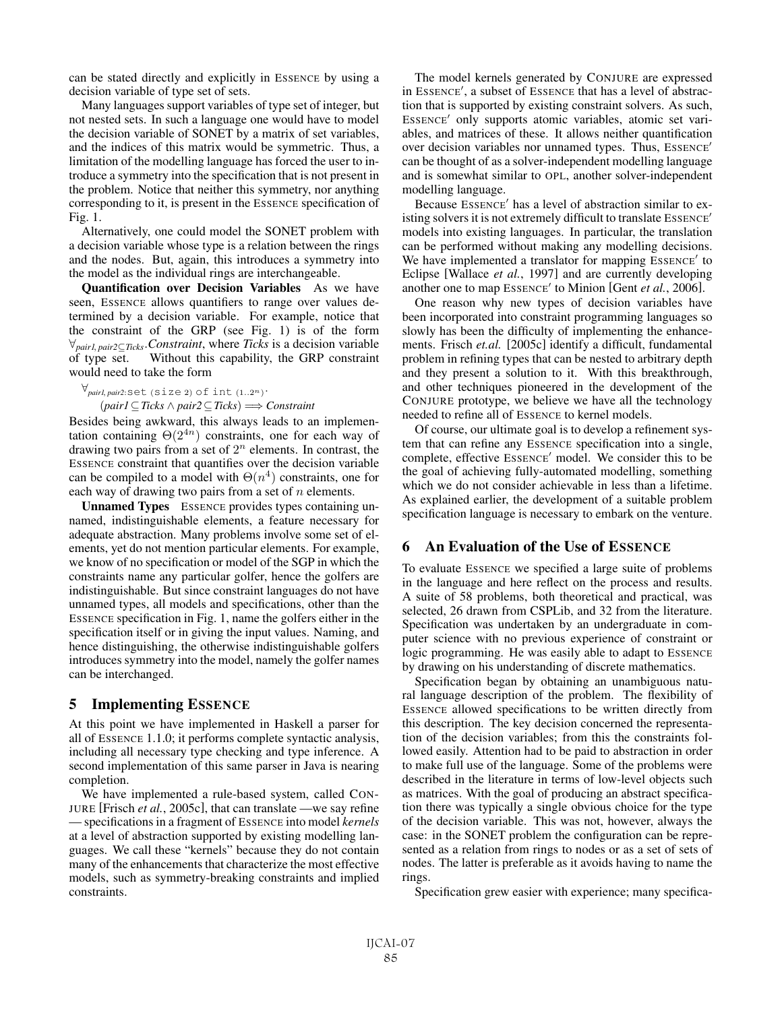can be stated directly and explicitly in ESSENCE by using a decision variable of type set of sets.

Many languages support variables of type set of integer, but not nested sets. In such a language one would have to model the decision variable of SONET by a matrix of set variables, and the indices of this matrix would be symmetric. Thus, a limitation of the modelling language has forced the user to introduce a symmetry into the specification that is not present in the problem. Notice that neither this symmetry, nor anything corresponding to it, is present in the ESSENCE specification of Fig. 1.

Alternatively, one could model the SONET problem with a decision variable whose type is a relation between the rings and the nodes. But, again, this introduces a symmetry into the model as the individual rings are interchangeable.

Quantification over Decision Variables As we have seen, ESSENCE allows quantifiers to range over values determined by a decision variable. For example, notice that the constraint of the GRP (see Fig. 1) is of the form <sup>∀</sup>*pair1*, *pair2*⊆*Ticks*.*Constraint*, where *Ticks* is a decision variable Without this capability, the GRP constraint would need to take the form

∀*pair1*, *pair2*:set (size 2) of int (1..2n). (*pair1*⊆*Ticks* ∧ *pair2*⊆*Ticks*) =⇒ *Constraint*

Besides being awkward, this always leads to an implementation containing  $\Theta(2^{4n})$  constraints, one for each way of drawing two pairs from a set of  $2^n$  elements. In contrast, the ESSENCE constraint that quantifies over the decision variable can be compiled to a model with  $\Theta(n^4)$  constraints, one for each way of drawing two pairs from a set of  $n$  elements.

Unnamed Types ESSENCE provides types containing unnamed, indistinguishable elements, a feature necessary for adequate abstraction. Many problems involve some set of elements, yet do not mention particular elements. For example, we know of no specification or model of the SGP in which the constraints name any particular golfer, hence the golfers are indistinguishable. But since constraint languages do not have unnamed types, all models and specifications, other than the ESSENCE specification in Fig. 1, name the golfers either in the specification itself or in giving the input values. Naming, and hence distinguishing, the otherwise indistinguishable golfers introduces symmetry into the model, namely the golfer names can be interchanged.

### 5 Implementing ESSENCE

At this point we have implemented in Haskell a parser for all of ESSENCE 1.1.0; it performs complete syntactic analysis, including all necessary type checking and type inference. A second implementation of this same parser in Java is nearing completion.

We have implemented a rule-based system, called CON-JURE [Frisch *et al.*, 2005c], that can translate —we say refine — specifications in a fragment of ESSENCE into model *kernels* at a level of abstraction supported by existing modelling languages. We call these "kernels" because they do not contain many of the enhancements that characterize the most effective models, such as symmetry-breaking constraints and implied constraints.

The model kernels generated by CONJURE are expressed in ESSENCE', a subset of ESSENCE that has a level of abstraction that is supported by existing constraint solvers. As such, ESSENCE' only supports atomic variables, atomic set variables, and matrices of these. It allows neither quantification over decision variables nor unnamed types. Thus, ESSENCE' can be thought of as a solver-independent modelling language and is somewhat similar to OPL, another solver-independent modelling language.

Because Essence' has a level of abstraction similar to existing solvers it is not extremely difficult to translate ESSENCE models into existing languages. In particular, the translation can be performed without making any modelling decisions. We have implemented a translator for mapping Essence' to Eclipse [Wallace *et al.*, 1997] and are currently developing another one to map ESSENCE' to Minion [Gent *et al.*, 2006].

One reason why new types of decision variables have been incorporated into constraint programming languages so slowly has been the difficulty of implementing the enhancements. Frisch *et.al.* [2005c] identify a difficult, fundamental problem in refining types that can be nested to arbitrary depth and they present a solution to it. With this breakthrough, and other techniques pioneered in the development of the CONJURE prototype, we believe we have all the technology needed to refine all of ESSENCE to kernel models.

Of course, our ultimate goal is to develop a refinement system that can refine any ESSENCE specification into a single, complete, effective ESSENCE' model. We consider this to be the goal of achieving fully-automated modelling, something which we do not consider achievable in less than a lifetime. As explained earlier, the development of a suitable problem specification language is necessary to embark on the venture.

# 6 An Evaluation of the Use of ESSENCE

To evaluate ESSENCE we specified a large suite of problems in the language and here reflect on the process and results. A suite of 58 problems, both theoretical and practical, was selected, 26 drawn from CSPLib, and 32 from the literature. Specification was undertaken by an undergraduate in computer science with no previous experience of constraint or logic programming. He was easily able to adapt to ESSENCE by drawing on his understanding of discrete mathematics.

Specification began by obtaining an unambiguous natural language description of the problem. The flexibility of ESSENCE allowed specifications to be written directly from this description. The key decision concerned the representation of the decision variables; from this the constraints followed easily. Attention had to be paid to abstraction in order to make full use of the language. Some of the problems were described in the literature in terms of low-level objects such as matrices. With the goal of producing an abstract specification there was typically a single obvious choice for the type of the decision variable. This was not, however, always the case: in the SONET problem the configuration can be represented as a relation from rings to nodes or as a set of sets of nodes. The latter is preferable as it avoids having to name the rings.

Specification grew easier with experience; many specifica-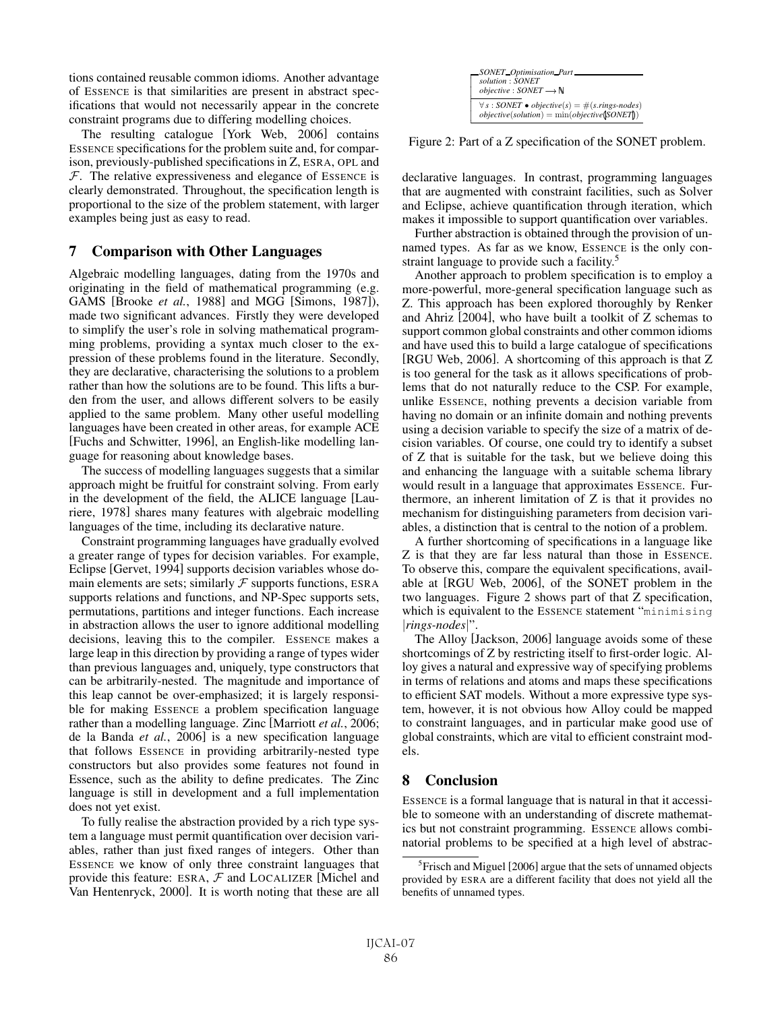tions contained reusable common idioms. Another advantage of ESSENCE is that similarities are present in abstract specifications that would not necessarily appear in the concrete constraint programs due to differing modelling choices.

The resulting catalogue [York Web, 2006] contains ESSENCE specifications for the problem suite and, for comparison, previously-published specifications in Z, ESRA, OPL and  $F$ . The relative expressiveness and elegance of ESSENCE is clearly demonstrated. Throughout, the specification length is proportional to the size of the problem statement, with larger examples being just as easy to read.

# 7 Comparison with Other Languages

Algebraic modelling languages, dating from the 1970s and originating in the field of mathematical programming (e.g. GAMS [Brooke *et al.*, 1988] and MGG [Simons, 1987]), made two significant advances. Firstly they were developed to simplify the user's role in solving mathematical programming problems, providing a syntax much closer to the expression of these problems found in the literature. Secondly, they are declarative, characterising the solutions to a problem rather than how the solutions are to be found. This lifts a burden from the user, and allows different solvers to be easily applied to the same problem. Many other useful modelling languages have been created in other areas, for example ACE [Fuchs and Schwitter, 1996], an English-like modelling language for reasoning about knowledge bases.

The success of modelling languages suggests that a similar approach might be fruitful for constraint solving. From early in the development of the field, the ALICE language [Lauriere, 1978] shares many features with algebraic modelling languages of the time, including its declarative nature.

Constraint programming languages have gradually evolved a greater range of types for decision variables. For example, Eclipse [Gervet, 1994] supports decision variables whose domain elements are sets; similarly  $\mathcal F$  supports functions, ESRA supports relations and functions, and NP-Spec supports sets, permutations, partitions and integer functions. Each increase in abstraction allows the user to ignore additional modelling decisions, leaving this to the compiler. ESSENCE makes a large leap in this direction by providing a range of types wider than previous languages and, uniquely, type constructors that can be arbitrarily-nested. The magnitude and importance of this leap cannot be over-emphasized; it is largely responsible for making ESSENCE a problem specification language rather than a modelling language. Zinc [Marriott *et al.*, 2006; de la Banda *et al.*, 2006] is a new specification language that follows ESSENCE in providing arbitrarily-nested type constructors but also provides some features not found in Essence, such as the ability to define predicates. The Zinc language is still in development and a full implementation does not yet exist.

To fully realise the abstraction provided by a rich type system a language must permit quantification over decision variables, rather than just fixed ranges of integers. Other than ESSENCE we know of only three constraint languages that provide this feature: ESRA,  $F$  and LOCALIZER [Michel and Van Hentenryck, 2000]. It is worth noting that these are all

| SONET Optimisation Part                                                                                       |
|---------------------------------------------------------------------------------------------------------------|
| solution: SONET                                                                                               |
| <i>objective</i> : $SONET \rightarrow N$                                                                      |
| $\forall s : SONET \bullet objective(s) = \#(s.rings-nodes)$<br>$objective(solution) = min(objective(SONET))$ |

Figure 2: Part of a Z specification of the SONET problem.

declarative languages. In contrast, programming languages that are augmented with constraint facilities, such as Solver and Eclipse, achieve quantification through iteration, which makes it impossible to support quantification over variables.

Further abstraction is obtained through the provision of unnamed types. As far as we know, ESSENCE is the only constraint language to provide such a facility.<sup>5</sup>

Another approach to problem specification is to employ a more-powerful, more-general specification language such as Z. This approach has been explored thoroughly by Renker and Ahriz [2004], who have built a toolkit of Z schemas to support common global constraints and other common idioms and have used this to build a large catalogue of specifications [RGU Web, 2006]. A shortcoming of this approach is that Z is too general for the task as it allows specifications of problems that do not naturally reduce to the CSP. For example, unlike ESSENCE, nothing prevents a decision variable from having no domain or an infinite domain and nothing prevents using a decision variable to specify the size of a matrix of decision variables. Of course, one could try to identify a subset of Z that is suitable for the task, but we believe doing this and enhancing the language with a suitable schema library would result in a language that approximates ESSENCE. Furthermore, an inherent limitation of Z is that it provides no mechanism for distinguishing parameters from decision variables, a distinction that is central to the notion of a problem.

A further shortcoming of specifications in a language like Z is that they are far less natural than those in ESSENCE. To observe this, compare the equivalent specifications, available at [RGU Web, 2006], of the SONET problem in the two languages. Figure 2 shows part of that Z specification, which is equivalent to the ESSENCE statement "minimising |*rings-nodes*|".

The Alloy [Jackson, 2006] language avoids some of these shortcomings of Z by restricting itself to first-order logic. Alloy gives a natural and expressive way of specifying problems in terms of relations and atoms and maps these specifications to efficient SAT models. Without a more expressive type system, however, it is not obvious how Alloy could be mapped to constraint languages, and in particular make good use of global constraints, which are vital to efficient constraint models.

# 8 Conclusion

ESSENCE is a formal language that is natural in that it accessible to someone with an understanding of discrete mathematics but not constraint programming. ESSENCE allows combinatorial problems to be specified at a high level of abstrac-

<sup>&</sup>lt;sup>5</sup> Frisch and Miguel [2006] argue that the sets of unnamed objects provided by ESRA are a different facility that does not yield all the benefits of unnamed types.